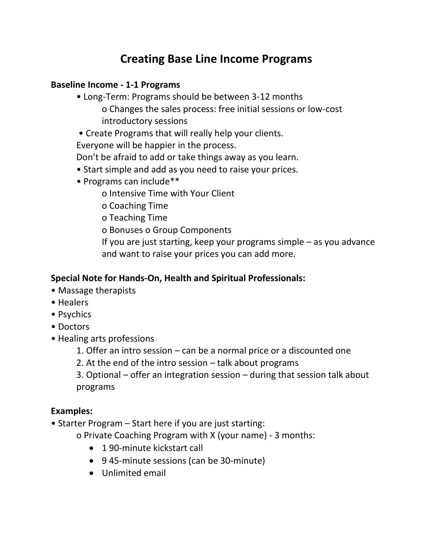# **Creating Base Line Income Programs**

#### **Baseline Income - 1-1 Programs**

- Long-Term: Programs should be between 3-12 months o Changes the sales process: free initial sessions or low-cost introductory sessions
- Create Programs that will really help your clients.

Everyone will be happier in the process.

Don't be afraid to add or take things away as you learn.

- Start simple and add as you need to raise your prices.
- Programs can include\*\*

o Intensive Time with Your Client

o Coaching Time

o Teaching Time

o Bonuses o Group Components

If you are just starting, keep your programs simple – as you advance and want to raise your prices you can add more.

#### **Special Note for Hands-On, Health and Spiritual Professionals:**

- Massage therapists
- Healers
- Psychics
- Doctors
- Healing arts professions

1. Offer an intro session – can be a normal price or a discounted one

2. At the end of the intro session – talk about programs

3. Optional – offer an integration session – during that session talk about programs

# **Examples:**

• Starter Program – Start here if you are just starting:

o Private Coaching Program with X (your name) - 3 months:

- 190-minute kickstart call
- 9 45-minute sessions (can be 30-minute)
- Unlimited email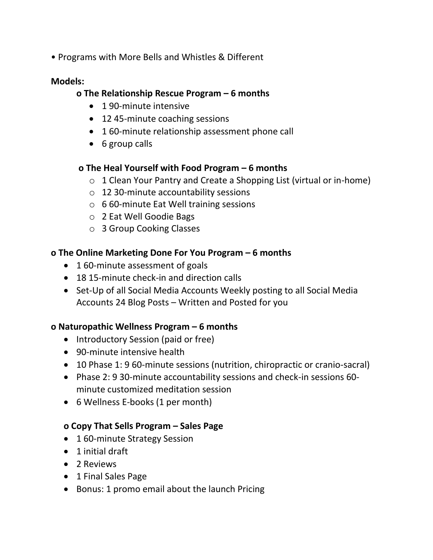• Programs with More Bells and Whistles & Different

#### **Models:**

#### **o The Relationship Rescue Program – 6 months**

- 190-minute intensive
- 12 45-minute coaching sessions
- 1 60-minute relationship assessment phone call
- 6 group calls

#### **o The Heal Yourself with Food Program – 6 months**

- o 1 Clean Your Pantry and Create a Shopping List (virtual or in-home)
- o 12 30-minute accountability sessions
- o 6 60-minute Eat Well training sessions
- o 2 Eat Well Goodie Bags
- o 3 Group Cooking Classes

#### **o The Online Marketing Done For You Program – 6 months**

- 1 60-minute assessment of goals
- 18 15-minute check-in and direction calls
- Set-Up of all Social Media Accounts Weekly posting to all Social Media Accounts 24 Blog Posts – Written and Posted for you

# **o Naturopathic Wellness Program – 6 months**

- Introductory Session (paid or free)
- 90-minute intensive health
- 10 Phase 1: 9 60-minute sessions (nutrition, chiropractic or cranio-sacral)
- Phase 2: 9 30-minute accountability sessions and check-in sessions 60 minute customized meditation session
- 6 Wellness E-books (1 per month)

# **o Copy That Sells Program – Sales Page**

- 1 60-minute Strategy Session
- 1 initial draft
- 2 Reviews
- 1 Final Sales Page
- Bonus: 1 promo email about the launch Pricing